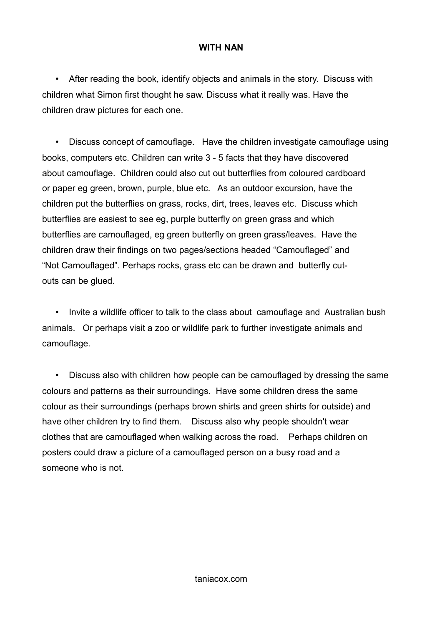## **WITH NAN**

• After reading the book, identify objects and animals in the story. Discuss with children what Simon first thought he saw. Discuss what it really was. Have the children draw pictures for each one.

• Discuss concept of camouflage. Have the children investigate camouflage using books, computers etc. Children can write 3 - 5 facts that they have discovered about camouflage. Children could also cut out butterflies from coloured cardboard or paper eg green, brown, purple, blue etc. As an outdoor excursion, have the children put the butterflies on grass, rocks, dirt, trees, leaves etc. Discuss which butterflies are easiest to see eg, purple butterfly on green grass and which butterflies are camouflaged, eg green butterfly on green grass/leaves. Have the children draw their findings on two pages/sections headed "Camouflaged" and "Not Camouflaged". Perhaps rocks, grass etc can be drawn and butterfly cutouts can be glued.

• Invite a wildlife officer to talk to the class about camouflage and Australian bush animals. Or perhaps visit a zoo or wildlife park to further investigate animals and camouflage.

• Discuss also with children how people can be camouflaged by dressing the same colours and patterns as their surroundings. Have some children dress the same colour as their surroundings (perhaps brown shirts and green shirts for outside) and have other children try to find them. Discuss also why people shouldn't wear clothes that are camouflaged when walking across the road. Perhaps children on posters could draw a picture of a camouflaged person on a busy road and a someone who is not.